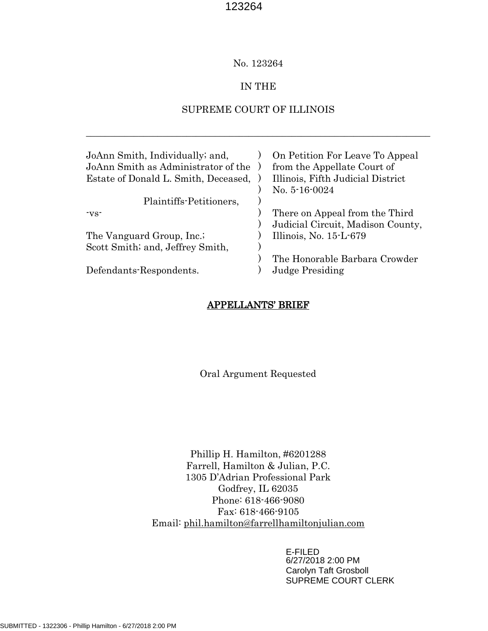## No. 123264

## IN THE

# SUPREME COURT OF ILLINOIS

\_\_\_\_\_\_\_\_\_\_\_\_\_\_\_\_\_\_\_\_\_\_\_\_\_\_\_\_\_\_\_\_\_\_\_\_\_\_\_\_\_\_\_\_\_\_\_\_\_\_\_\_\_\_\_\_\_\_\_\_\_\_\_\_\_\_\_\_\_\_\_\_

| JoAnn Smith, Individually; and,<br>JoAnn Smith as Administrator of the<br>Estate of Donald L. Smith, Deceased, | On Petition For Leave To Appeal<br>from the Appellate Court of<br>Illinois, Fifth Judicial District<br>No. $5-16-0024$ |
|----------------------------------------------------------------------------------------------------------------|------------------------------------------------------------------------------------------------------------------------|
| Plaintiffs-Petitioners,                                                                                        |                                                                                                                        |
| $\mathbf{v}\mathbf{s}$                                                                                         | There on Appeal from the Third<br>Judicial Circuit, Madison County,                                                    |
| The Vanguard Group, Inc.                                                                                       | Illinois, No. 15-L-679                                                                                                 |
| Scott Smith; and, Jeffrey Smith,                                                                               |                                                                                                                        |
| Defendants-Respondents.                                                                                        | The Honorable Barbara Crowder<br><b>Judge Presiding</b>                                                                |

## APPELLANTS' BRIEF

Oral Argument Requested

Phillip H. Hamilton, #6201288 Farrell, Hamilton & Julian, P.C. 1305 D'Adrian Professional Park Godfrey, IL 62035 Phone: 618-466-9080 Fax: 618-466-9105 Email: [phil.hamilton@farrellhamiltonjulian.com](mailto:phil.hamilton@farrellhamiltonjulian.com)

> E-FILED 6/27/2018 2:00 PM Carolyn Taft Grosboll SUPREME COURT CLERK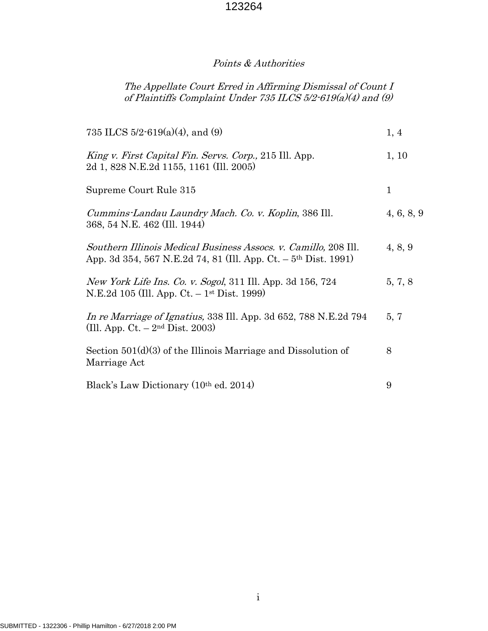# Points & Authorities

# The Appellate Court Erred in Affirming Dismissal of Count I of Plaintiffs Complaint Under 735 ILCS 5/2-619(a)(4) and (9)

| 735 ILCS $5/2$ -619(a)(4), and (9)                                                                                                             | 1, 4        |
|------------------------------------------------------------------------------------------------------------------------------------------------|-------------|
| King v. First Capital Fin. Servs. Corp., 215 Ill. App.<br>2d 1, 828 N.E.2d 1155, 1161 (Ill. 2005)                                              | 1, 10       |
| Supreme Court Rule 315                                                                                                                         | $\mathbf 1$ |
| Cummins-Landau Laundry Mach. Co. v. Koplin, 386 Ill.<br>368, 54 N.E. 462 (Ill. 1944)                                                           | 4, 6, 8, 9  |
| Southern Illinois Medical Business Assocs. v. Camillo, 208 Ill.<br>App. 3d 354, 567 N.E.2d 74, 81 (Ill. App. Ct. – 5 <sup>th</sup> Dist. 1991) | 4, 8, 9     |
| New York Life Ins. Co. v. Sogol, 311 Ill. App. 3d 156, 724<br>N.E.2d 105 (Ill. App. Ct. – 1 <sup>st</sup> Dist. 1999)                          | 5, 7, 8     |
| In re Marriage of Ignatius, 338 Ill. App. 3d 652, 788 N.E.2d 794<br>(Ill. App. $Ct. - 2nd Dist. 2003$ )                                        | 5, 7        |
| Section $501(d)(3)$ of the Illinois Marriage and Dissolution of<br>Marriage Act                                                                | 8           |
| Black's Law Dictionary (10 <sup>th</sup> ed. 2014)                                                                                             | 9           |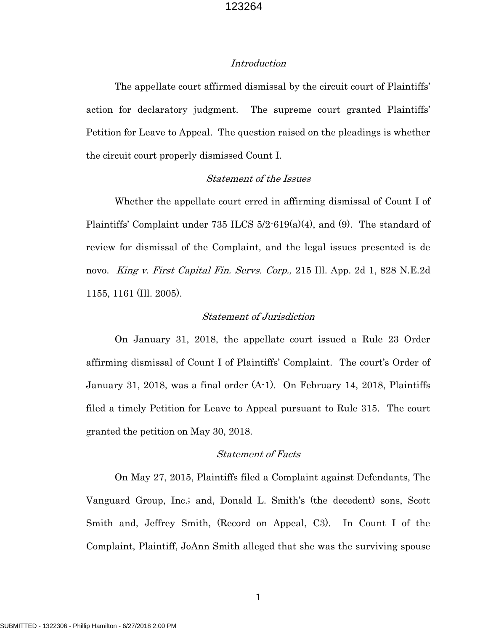### Introduction

The appellate court affirmed dismissal by the circuit court of Plaintiffs' action for declaratory judgment. The supreme court granted Plaintiffs' Petition for Leave to Appeal. The question raised on the pleadings is whether the circuit court properly dismissed Count I.

### Statement of the Issues

Whether the appellate court erred in affirming dismissal of Count I of Plaintiffs' Complaint under 735 ILCS 5/2-619(a)(4), and (9). The standard of review for dismissal of the Complaint, and the legal issues presented is de novo. *King v. First Capital Fin. Servs. Corp.*, 215 Ill. App. 2d 1, 828 N.E.2d 1155, 1161 (Ill. 2005).

## Statement of Jurisdiction

On January 31, 2018, the appellate court issued a Rule 23 Order affirming dismissal of Count I of Plaintiffs' Complaint. The court's Order of January 31, 2018, was a final order (A-1). On February 14, 2018, Plaintiffs filed a timely Petition for Leave to Appeal pursuant to Rule 315. The court granted the petition on May 30, 2018.

### Statement of Facts

On May 27, 2015, Plaintiffs filed a Complaint against Defendants, The Vanguard Group, Inc.; and, Donald L. Smith's (the decedent) sons, Scott Smith and, Jeffrey Smith, (Record on Appeal, C3). In Count I of the Complaint, Plaintiff, JoAnn Smith alleged that she was the surviving spouse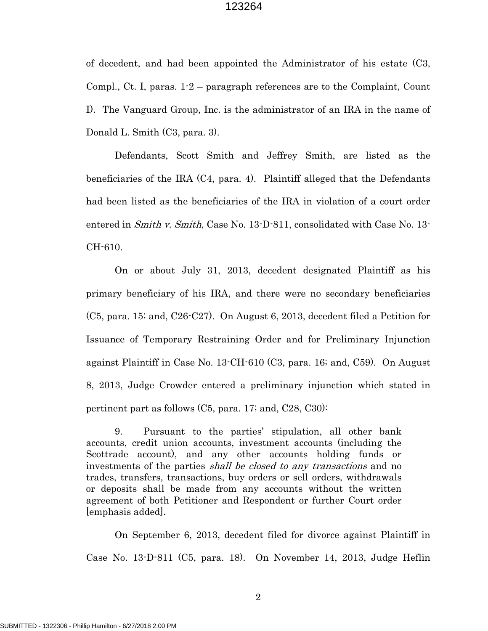of decedent, and had been appointed the Administrator of his estate (C3, Compl., Ct. I, paras. 1-2 – paragraph references are to the Complaint, Count I). The Vanguard Group, Inc. is the administrator of an IRA in the name of Donald L. Smith (C3, para. 3).

Defendants, Scott Smith and Jeffrey Smith, are listed as the beneficiaries of the IRA (C4, para. 4). Plaintiff alleged that the Defendants had been listed as the beneficiaries of the IRA in violation of a court order entered in *Smith v. Smith*, Case No. 13-D-811, consolidated with Case No. 13-CH-610.

On or about July 31, 2013, decedent designated Plaintiff as his primary beneficiary of his IRA, and there were no secondary beneficiaries (C5, para. 15; and, C26-C27). On August 6, 2013, decedent filed a Petition for Issuance of Temporary Restraining Order and for Preliminary Injunction against Plaintiff in Case No. 13-CH-610 (C3, para. 16; and, C59). On August 8, 2013, Judge Crowder entered a preliminary injunction which stated in pertinent part as follows (C5, para. 17; and, C28, C30):

9. Pursuant to the parties' stipulation, all other bank accounts, credit union accounts, investment accounts (including the Scottrade account), and any other accounts holding funds or investments of the parties *shall be closed to any transactions* and no trades, transfers, transactions, buy orders or sell orders, withdrawals or deposits shall be made from any accounts without the written agreement of both Petitioner and Respondent or further Court order [emphasis added].

On September 6, 2013, decedent filed for divorce against Plaintiff in Case No. 13-D-811 (C5, para. 18). On November 14, 2013, Judge Heflin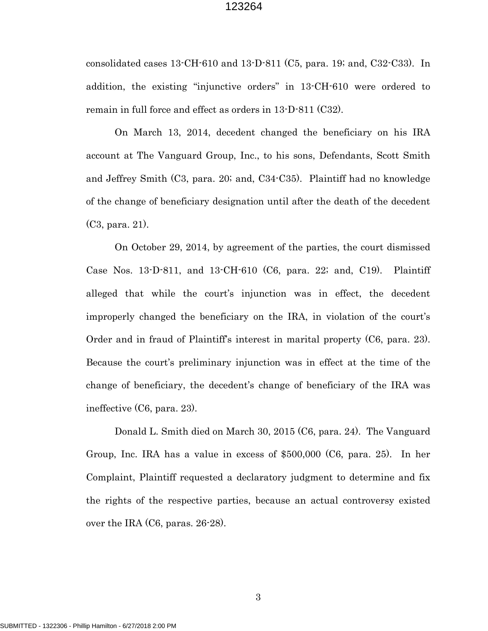consolidated cases 13-CH-610 and 13-D-811 (C5, para. 19; and, C32-C33). In addition, the existing "injunctive orders" in 13-CH-610 were ordered to remain in full force and effect as orders in 13-D-811 (C32).

On March 13, 2014, decedent changed the beneficiary on his IRA account at The Vanguard Group, Inc., to his sons, Defendants, Scott Smith and Jeffrey Smith (C3, para. 20; and, C34-C35). Plaintiff had no knowledge of the change of beneficiary designation until after the death of the decedent (C3, para. 21).

On October 29, 2014, by agreement of the parties, the court dismissed Case Nos. 13-D-811, and 13-CH-610 (C6, para. 22; and, C19). Plaintiff alleged that while the court's injunction was in effect, the decedent improperly changed the beneficiary on the IRA, in violation of the court's Order and in fraud of Plaintiff's interest in marital property (C6, para. 23). Because the court's preliminary injunction was in effect at the time of the change of beneficiary, the decedent's change of beneficiary of the IRA was ineffective (C6, para. 23).

Donald L. Smith died on March 30, 2015 (C6, para. 24). The Vanguard Group, Inc. IRA has a value in excess of \$500,000 (C6, para. 25). In her Complaint, Plaintiff requested a declaratory judgment to determine and fix the rights of the respective parties, because an actual controversy existed over the IRA (C6, paras. 26-28).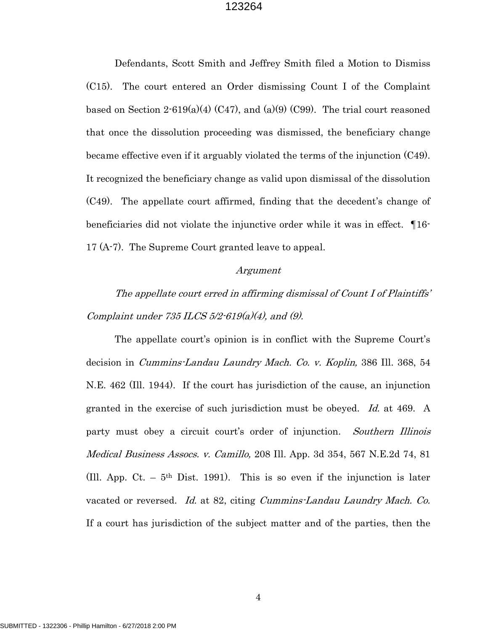Defendants, Scott Smith and Jeffrey Smith filed a Motion to Dismiss (C15). The court entered an Order dismissing Count I of the Complaint based on Section  $2.619(a)(4)$  (C47), and (a)(9) (C99). The trial court reasoned that once the dissolution proceeding was dismissed, the beneficiary change became effective even if it arguably violated the terms of the injunction (C49). It recognized the beneficiary change as valid upon dismissal of the dissolution (C49). The appellate court affirmed, finding that the decedent's change of beneficiaries did not violate the injunctive order while it was in effect. ¶16- 17 (A-7). The Supreme Court granted leave to appeal.

#### Argument

The appellate court erred in affirming dismissal of Count I of Plaintiffs' Complaint under  $735$  ILCS  $5/2$ - $619(a)(4)$ , and  $(9)$ .

The appellate court's opinion is in conflict with the Supreme Court's decision in Cummins-Landau Laundry Mach. Co. v. Koplin, 386 Ill. 368, 54 N.E. 462 (Ill. 1944). If the court has jurisdiction of the cause, an injunction granted in the exercise of such jurisdiction must be obeyed. Id. at 469. A party must obey a circuit court's order of injunction. Southern Illinois Medical Business Assocs. v. Camillo, 208 Ill. App. 3d 354, 567 N.E.2d 74, 81 (Ill. App. Ct.  $-5$ <sup>th</sup> Dist. 1991). This is so even if the injunction is later vacated or reversed. Id. at 82, citing Cummins-Landau Laundry Mach. Co. If a court has jurisdiction of the subject matter and of the parties, then the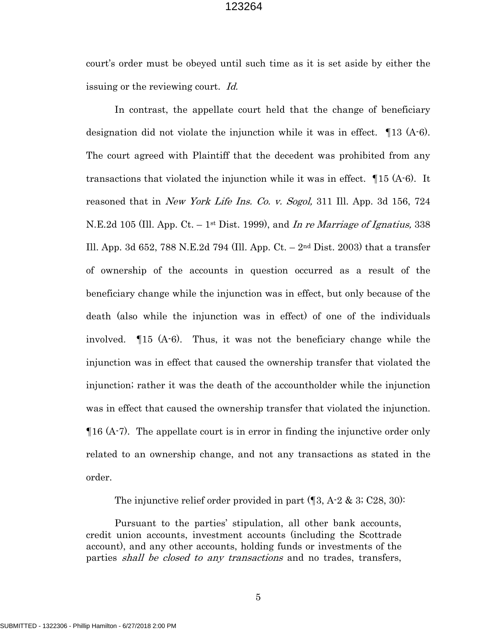court's order must be obeyed until such time as it is set aside by either the issuing or the reviewing court. Id.

In contrast, the appellate court held that the change of beneficiary designation did not violate the injunction while it was in effect. ¶13 (A-6). The court agreed with Plaintiff that the decedent was prohibited from any transactions that violated the injunction while it was in effect. ¶15 (A-6). It reasoned that in *New York Life Ins. Co. v. Sogol*, 311 Ill. App. 3d 156, 724 N.E.2d 105 (Ill. App. Ct. – 1<sup>st</sup> Dist. 1999), and In re Marriage of Ignatius, 338 Ill. App. 3d 652, 788 N.E.2d 794 (Ill. App. Ct. –  $2<sup>nd</sup>$  Dist. 2003) that a transfer of ownership of the accounts in question occurred as a result of the beneficiary change while the injunction was in effect, but only because of the death (also while the injunction was in effect) of one of the individuals involved. ¶15 (A-6). Thus, it was not the beneficiary change while the injunction was in effect that caused the ownership transfer that violated the injunction; rather it was the death of the accountholder while the injunction was in effect that caused the ownership transfer that violated the injunction. ¶16 (A-7). The appellate court is in error in finding the injunctive order only related to an ownership change, and not any transactions as stated in the order.

The injunctive relief order provided in part  $(\mathbb{I}3, A-2 \& 3; C28, 30)$ :

Pursuant to the parties' stipulation, all other bank accounts, credit union accounts, investment accounts (including the Scottrade account), and any other accounts, holding funds or investments of the parties *shall be closed to any transactions* and no trades, transfers,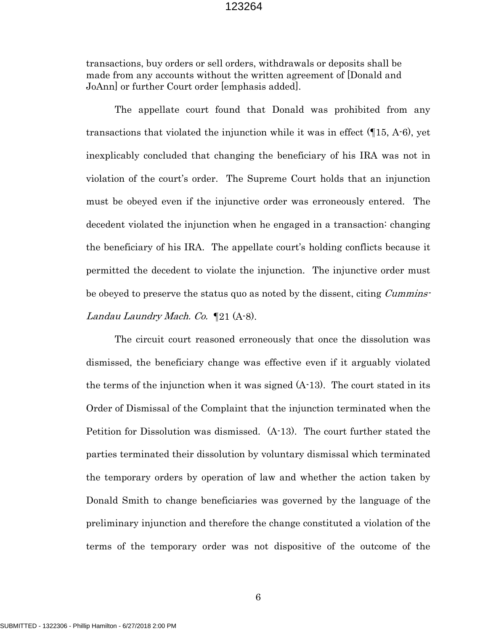transactions, buy orders or sell orders, withdrawals or deposits shall be made from any accounts without the written agreement of [Donald and JoAnn] or further Court order [emphasis added].

The appellate court found that Donald was prohibited from any transactions that violated the injunction while it was in effect (¶15, A-6), yet inexplicably concluded that changing the beneficiary of his IRA was not in violation of the court's order. The Supreme Court holds that an injunction must be obeyed even if the injunctive order was erroneously entered. The decedent violated the injunction when he engaged in a transaction: changing the beneficiary of his IRA. The appellate court's holding conflicts because it permitted the decedent to violate the injunction. The injunctive order must be obeyed to preserve the status quo as noted by the dissent, citing *Cummins*-Landau Laundry Mach. Co.  $\P$ 21 (A-8).

The circuit court reasoned erroneously that once the dissolution was dismissed, the beneficiary change was effective even if it arguably violated the terms of the injunction when it was signed (A-13). The court stated in its Order of Dismissal of the Complaint that the injunction terminated when the Petition for Dissolution was dismissed. (A-13). The court further stated the parties terminated their dissolution by voluntary dismissal which terminated the temporary orders by operation of law and whether the action taken by Donald Smith to change beneficiaries was governed by the language of the preliminary injunction and therefore the change constituted a violation of the terms of the temporary order was not dispositive of the outcome of the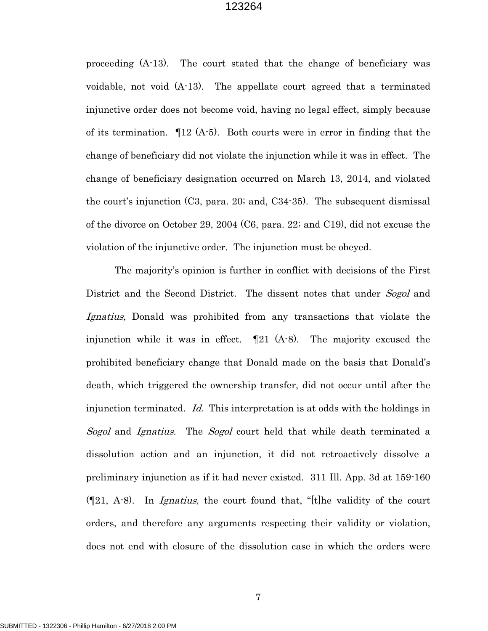proceeding (A-13). The court stated that the change of beneficiary was voidable, not void (A-13). The appellate court agreed that a terminated injunctive order does not become void, having no legal effect, simply because of its termination.  $\P$ 12 (A-5). Both courts were in error in finding that the change of beneficiary did not violate the injunction while it was in effect. The change of beneficiary designation occurred on March 13, 2014, and violated the court's injunction (C3, para. 20; and, C34-35). The subsequent dismissal of the divorce on October 29, 2004 (C6, para. 22; and C19), did not excuse the violation of the injunctive order. The injunction must be obeyed.

The majority's opinion is further in conflict with decisions of the First District and the Second District. The dissent notes that under Sogol and Ignatius, Donald was prohibited from any transactions that violate the injunction while it was in effect.  $\P$ 21 (A-8). The majority excused the prohibited beneficiary change that Donald made on the basis that Donald's death, which triggered the ownership transfer, did not occur until after the injunction terminated. Id. This interpretation is at odds with the holdings in Sogol and Ignatius. The Sogol court held that while death terminated a dissolution action and an injunction, it did not retroactively dissolve a preliminary injunction as if it had never existed. 311 Ill. App. 3d at 159-160  $(\mathbb{Z}1, A-8)$ . In *Ignatius*, the court found that, "[t]he validity of the court orders, and therefore any arguments respecting their validity or violation, does not end with closure of the dissolution case in which the orders were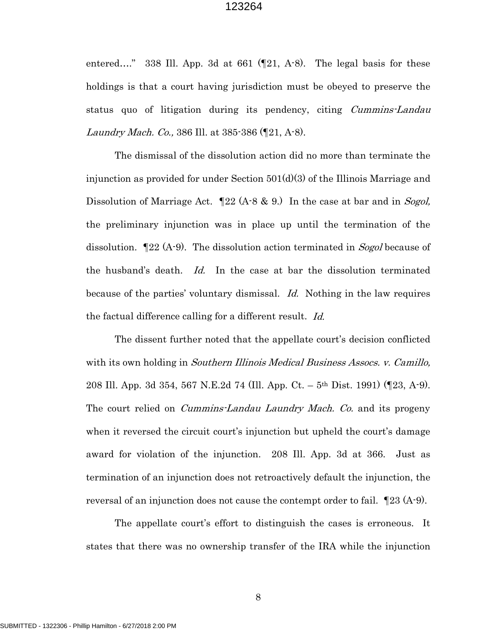entered…." 338 Ill. App. 3d at 661 (¶21, A-8). The legal basis for these holdings is that a court having jurisdiction must be obeyed to preserve the status quo of litigation during its pendency, citing Cummins-Landau Laundry Mach. Co., 386 Ill. at 385-386 (¶21, A-8).

The dismissal of the dissolution action did no more than terminate the injunction as provided for under Section 501(d)(3) of the Illinois Marriage and Dissolution of Marriage Act.  $\mathbb{I}22$  (A-8 & 9.) In the case at bar and in *Sogol*, the preliminary injunction was in place up until the termination of the dissolution.  $\mathbb{I}22$  (A-9). The dissolution action terminated in *Sogol* because of the husband's death. Id. In the case at bar the dissolution terminated because of the parties' voluntary dismissal. Id. Nothing in the law requires the factual difference calling for a different result. Id.

The dissent further noted that the appellate court's decision conflicted with its own holding in Southern Illinois Medical Business Assocs. v. Camillo, 208 Ill. App. 3d 354, 567 N.E.2d 74 (Ill. App. Ct. – 5th Dist. 1991) (¶23, A-9). The court relied on *Cummins-Landau Laundry Mach. Co.* and its progeny when it reversed the circuit court's injunction but upheld the court's damage award for violation of the injunction. 208 Ill. App. 3d at 366. Just as termination of an injunction does not retroactively default the injunction, the reversal of an injunction does not cause the contempt order to fail. ¶23 (A-9).

The appellate court's effort to distinguish the cases is erroneous. It states that there was no ownership transfer of the IRA while the injunction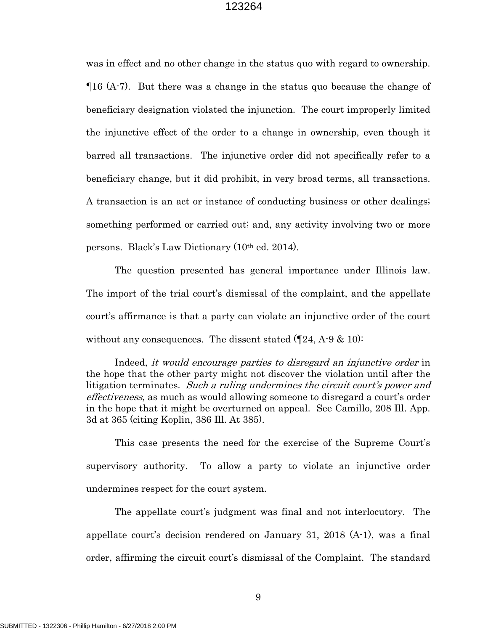was in effect and no other change in the status quo with regard to ownership. ¶16 (A-7). But there was a change in the status quo because the change of beneficiary designation violated the injunction. The court improperly limited the injunctive effect of the order to a change in ownership, even though it barred all transactions. The injunctive order did not specifically refer to a beneficiary change, but it did prohibit, in very broad terms, all transactions. A transaction is an act or instance of conducting business or other dealings; something performed or carried out; and, any activity involving two or more persons. Black's Law Dictionary (10th ed. 2014).

The question presented has general importance under Illinois law. The import of the trial court's dismissal of the complaint, and the appellate court's affirmance is that a party can violate an injunctive order of the court without any consequences. The dissent stated  $(24, A-9, \& 10)$ :

 Indeed, it would encourage parties to disregard an injunctive order in the hope that the other party might not discover the violation until after the litigation terminates. Such a ruling undermines the circuit court's power and effectiveness, as much as would allowing someone to disregard a court's order in the hope that it might be overturned on appeal. See Camillo, 208 Ill. App. 3d at 365 (citing Koplin, 386 Ill. At 385).

This case presents the need for the exercise of the Supreme Court's supervisory authority. To allow a party to violate an injunctive order undermines respect for the court system.

The appellate court's judgment was final and not interlocutory. The appellate court's decision rendered on January 31, 2018 (A-1), was a final order, affirming the circuit court's dismissal of the Complaint. The standard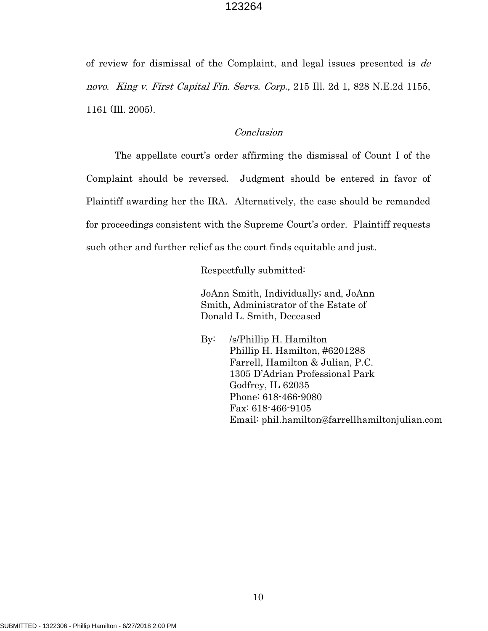of review for dismissal of the Complaint, and legal issues presented is de novo. King v. First Capital Fin. Servs. Corp., 215 Ill. 2d 1, 828 N.E.2d 1155, 1161 (Ill. 2005).

## Conclusion

The appellate court's order affirming the dismissal of Count I of the Complaint should be reversed. Judgment should be entered in favor of Plaintiff awarding her the IRA. Alternatively, the case should be remanded for proceedings consistent with the Supreme Court's order. Plaintiff requests such other and further relief as the court finds equitable and just.

Respectfully submitted:

 JoAnn Smith, Individually; and, JoAnn Smith, Administrator of the Estate of Donald L. Smith, Deceased

 By: /s/Phillip H. Hamilton Phillip H. Hamilton, #6201288 Farrell, Hamilton & Julian, P.C. 1305 D'Adrian Professional Park Godfrey, IL 62035 Phone: 618-466-9080 Fax: 618-466-9105 Email: phil.hamilton@farrellhamiltonjulian.com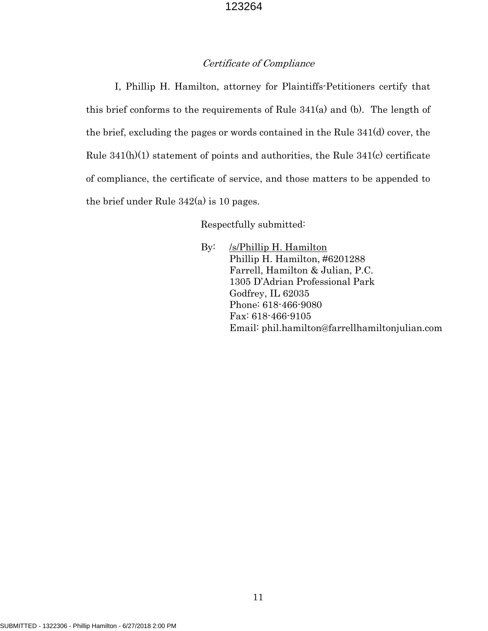## Certificate of Compliance

I, Phillip H. Hamilton, attorney for Plaintiffs-Petitioners certify that this brief conforms to the requirements of Rule 341(a) and (b). The length of the brief, excluding the pages or words contained in the Rule 341(d) cover, the Rule 341(h)(1) statement of points and authorities, the Rule 341(c) certificate of compliance, the certificate of service, and those matters to be appended to the brief under Rule 342(a) is 10 pages.

Respectfully submitted:

By: /s/Phillip H. Hamilton Phillip H. Hamilton, #6201288 Farrell, Hamilton & Julian, P.C. 1305 D'Adrian Professional Park Godfrey, IL 62035 Phone: 618-466-9080 Fax: 618-466-9105 Email: phil.hamilton@farrellhamiltonjulian.com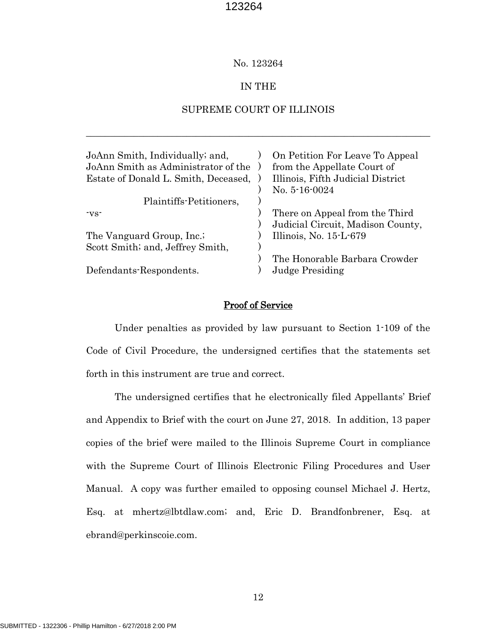### No. 123264

### IN THE

### SUPREME COURT OF ILLINOIS

\_\_\_\_\_\_\_\_\_\_\_\_\_\_\_\_\_\_\_\_\_\_\_\_\_\_\_\_\_\_\_\_\_\_\_\_\_\_\_\_\_\_\_\_\_\_\_\_\_\_\_\_\_\_\_\_\_\_\_\_\_\_\_\_\_\_\_\_\_\_\_\_

| JoAnn Smith, Individually; and,<br>JoAnn Smith as Administrator of the<br>Estate of Donald L. Smith, Deceased, | On Petition For Leave To Appeal<br>from the Appellate Court of<br>Illinois, Fifth Judicial District |
|----------------------------------------------------------------------------------------------------------------|-----------------------------------------------------------------------------------------------------|
|                                                                                                                | No. 5-16-0024                                                                                       |
| Plaintiffs-Petitioners,                                                                                        |                                                                                                     |
| $\mathbf{v}\mathbf{s}$                                                                                         | There on Appeal from the Third                                                                      |
|                                                                                                                | Judicial Circuit, Madison County,                                                                   |
| The Vanguard Group, Inc.;                                                                                      | Illinois, No. $15-L-679$                                                                            |
| Scott Smith; and, Jeffrey Smith,                                                                               |                                                                                                     |
| Defendants-Respondents.                                                                                        | The Honorable Barbara Crowder<br><b>Judge Presiding</b>                                             |
|                                                                                                                |                                                                                                     |

### Proof of Service

Under penalties as provided by law pursuant to Section 1-109 of the Code of Civil Procedure, the undersigned certifies that the statements set forth in this instrument are true and correct.

The undersigned certifies that he electronically filed Appellants' Brief and Appendix to Brief with the court on June 27, 2018. In addition, 13 paper copies of the brief were mailed to the Illinois Supreme Court in compliance with the Supreme Court of Illinois Electronic Filing Procedures and User Manual. A copy was further emailed to opposing counsel Michael J. Hertz, Esq. at mhertz@lbtdlaw.com; and, Eric D. Brandfonbrener, Esq. at ebrand@perkinscoie.com.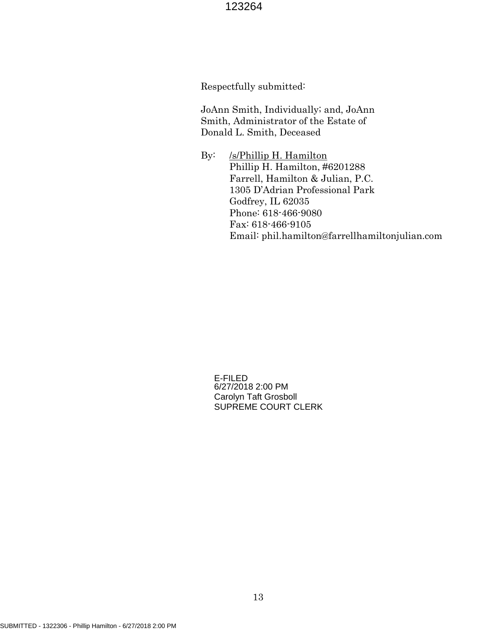Respectfully submitted:

 JoAnn Smith, Individually; and, JoAnn Smith, Administrator of the Estate of Donald L. Smith, Deceased

 By: /s/Phillip H. Hamilton Phillip H. Hamilton, #6201288 Farrell, Hamilton & Julian, P.C. 1305 D'Adrian Professional Park Godfrey, IL 62035 Phone: 618-466-9080 Fax: 618-466-9105 Email: phil.hamilton@farrellhamiltonjulian.com

E-FILED 6/27/2018 2:00 PM Carolyn Taft Grosboll SUPREME COURT CLERK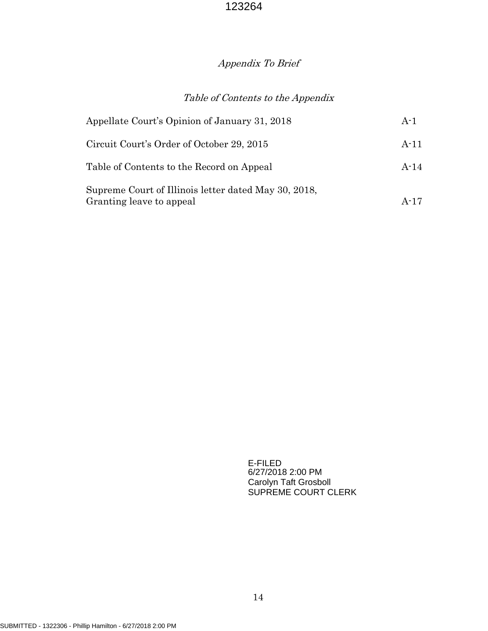# Appendix To Brief

# Table of Contents to the Appendix

| Appellate Court's Opinion of January 31, 2018                                    | $A-1$  |
|----------------------------------------------------------------------------------|--------|
| Circuit Court's Order of October 29, 2015                                        | $A-11$ |
| Table of Contents to the Record on Appeal                                        | $A-14$ |
| Supreme Court of Illinois letter dated May 30, 2018,<br>Granting leave to appeal |        |

E-FILED 6/27/2018 2:00 PM Carolyn Taft Grosboll SUPREME COURT CLERK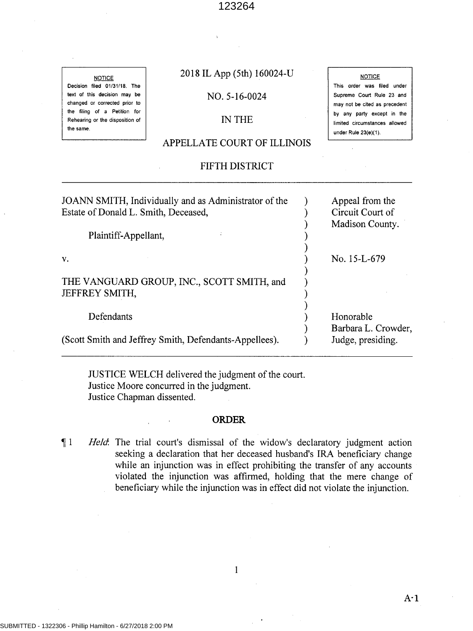**NOTICE** Decision filed 01/31/18. The text of this decision may be changed or corrected prior to the filing of a Petition for Rehearing or the disposition of the same.

## 2018 IL App (5th) 160024-U

**NOTICE** This order was filed under Supreme Court Rule 23 and may not be cited as precedent by any party except in the limited circumstances allowed

under Rule 23(e)(1).

### NO. 5-16-0024

## IN THE

## APPELLATE COURT OF ILLINOIS

## FIFTH DISTRICT

JOANN SMITH, Individually and as Administrator of the Estate of Donald L. Smith, Deceased, Plaintiff-Appellant, v. THE VANGUARD GROUP, INC., SCOTT SMITH, and JEFFREY SMITH, Defendants (Scott Smith and Jeffrey Smith, Defendants-Appellees). ) ) ) ) ) ) ) ) ) ) ) ) ) Appeal from the Circuit Court of Madison County. No. 15-L-679 Honorable Barbara L. Crowder, Judge, presiding.

JUSTICE WELCH delivered the judgment of the court. Justice Moore concurred in the judgment. Justice Chapman dissented.

### **ORDER**

1 *Held*. The trial court's dismissal of the widow's declaratory judgment action seeking a declaration that her deceased husband's IRA beneficiary change while an injunction was in effect prohibiting the transfer of any accounts violated the injunction was affirmed, holding that the mere change of beneficiary while the injunction was in effect did not violate the injunction.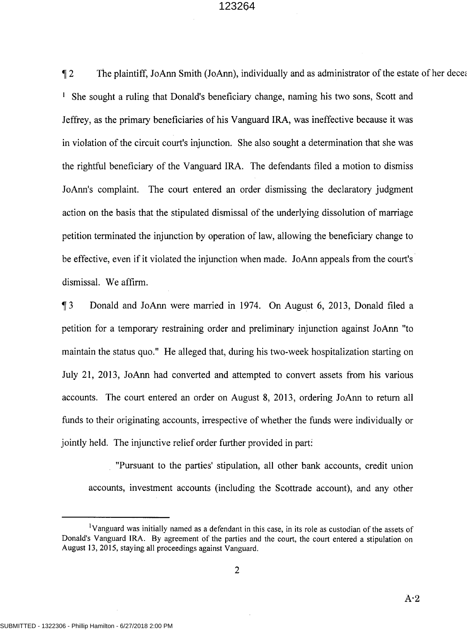The plaintiff, JoAnn Smith (JoAnn), individually and as administrator of the estate of her decearal <sup>1</sup> She sought a ruling that Donald's beneficiary change, naming his two sons, Scott and Jeffrey, as the primary beneficiaries of his Vanguard IRA, was ineffective because it was in violation of the circuit court's injunction. She also sought a determination that she was the rightful beneficiary of the Vanguard IRA. The defendants filed a motion to dismiss JoAnn's complaint. The court entered an order dismissing the declaratory judgment action on the basis that the stipulated dismissal of the underlying dissolution of marriage petition terminated the injunction by operation of law, allowing the beneficiary change to be effective, even if it violated the injunction when made. JoAnn appeals from the court's dismissal. We affirm.

<sup>~</sup>3 Donald and JoAnn were married in 1974. On August 6, 2013, Donald filed a petition for a temporary restraining order and preliminary injunction against JoAnn "to maintain the status quo." He alleged that, during his two-week hospitalization starting on July 21, 2013, JoAnn had converted and attempted to convert assets from his various accounts. The court entered an order on August 8, 2013, ordering JoAnn to return all funds to their originating accounts, irrespective of whether the funds were individually or jointly held. The injunctive relief order further provided in part:

"Pursuant to the parties' stipulation, all other bank accounts, credit union accounts, investment accounts (including the Scottrade account), and any other

<sup>&</sup>lt;sup>1</sup>Vanguard was initially named as a defendant in this case, in its role as custodian of the assets of Donald's Vanguard IRA. By agreement of the parties and the court, the court entered a stipulation on August 13, 2015, staying all proceedings against Vanguard.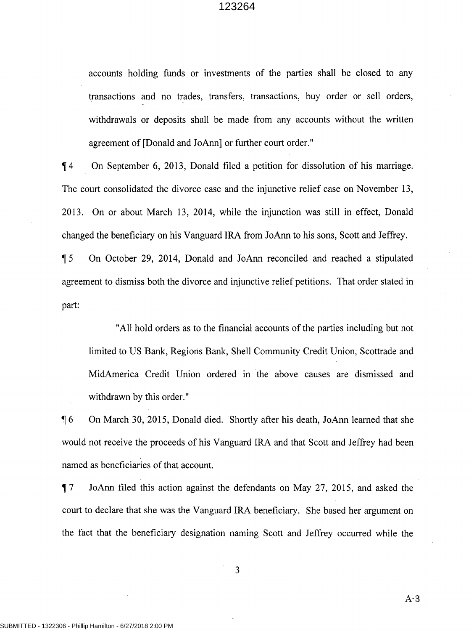accounts holding funds or investments of the parties shall be closed to any transactions and no trades, transfers, transactions, buy order or sell orders, withdrawals or deposits shall be made from any accounts without the written agreement of [Donald and JoAnn] or further court order."

, 4 On September 6, 2013, Donald filed a petition for dissolution of his marriage. The court consolidated the divorce case and the injunctive relief case on November 13, 2013. On or about March 13, 2014, while the injunction was still in effect, Donald changed the beneficiary on his Vanguard IRA from JoAnn to his sons, Scott and Jeffrey.

, 5 On October 29, 2014, Donald and JoAnn reconciled and reached a stipulated agreement to dismiss both the divorce and injunctive relief petitions. That order stated in part:

"All hold orders as to the financial accounts of the parties including but not limited to US Bank, Regions Bank, Shell Community Credit Union, Scottrade and MidAmerica Credit Union ordered in the above causes are dismissed and withdrawn by this order."

, 6 On March 30, 2015, Donald died. Shortly after his death, JoAnn learned that she would not receive the proceeds of his Vanguard IRA and that Scott and Jeffrey had been named as beneficiaries of that account.

, 7 JoAnn filed this action against the defendants on May 27, 2015, and asked the court to declare that she was the Vanguard IRA beneficiary. She based her argument on the fact that the beneficiary designation naming Scott and Jeffrey occurred while the

3

 $A-3$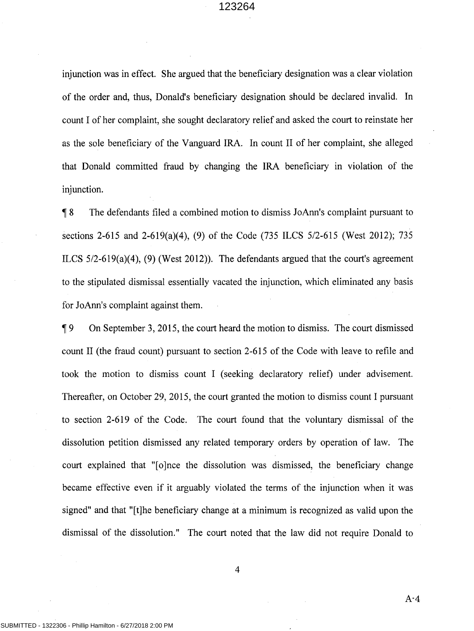injunction was in effect. She argued that the beneficiary designation was a clear violation of the order and, thus, Donald's beneficiary designation should be declared invalid. In count I of her complaint, she sought declaratory relief and asked the court to reinstate her as the sole beneficiary of the Vanguard IRA. In count II of her complaint, she alleged that Donald committed fraud by changing the IRA beneficiary in violation of the injunction.

1 8 The defendants filed a combined motion to dismiss JoAnn's complaint pursuant to sections 2-615 and 2-619(a)(4), (9) of the Code (735 ILCS 5/2-615 (West 2012); 735 ILCS 5/2-619(a)(4), (9) (West 2012)). The defendants argued that the court's agreement to the stipulated dismissal essentially vacated the injunction, which eliminated any basis for JoAnn's complaint against them.

19 On September 3, 2015, the court heard the motion to dismiss. The court dismissed count II (the fraud count) pursuant to section 2-615 of the Code with leave to refile and took the motion to dismiss count I (seeking declaratory relief) under advisement. Thereafter, on October 29, 2015, the court granted the motion to dismiss count I pursuant to section 2-619 of the Code. The court found that the voluntary dismissal of the dissolution petition dismissed any related temporary orders by operation of law. The court explained that "[o]nce the dissolution was dismissed, the beneficiary change became effective even if it arguably violated the terms of the injunction when it was signed" and that "[t]he beneficiary change at a minimum is recognized as valid upon the dismissal of the dissolution." The court noted that the law did not require Donald to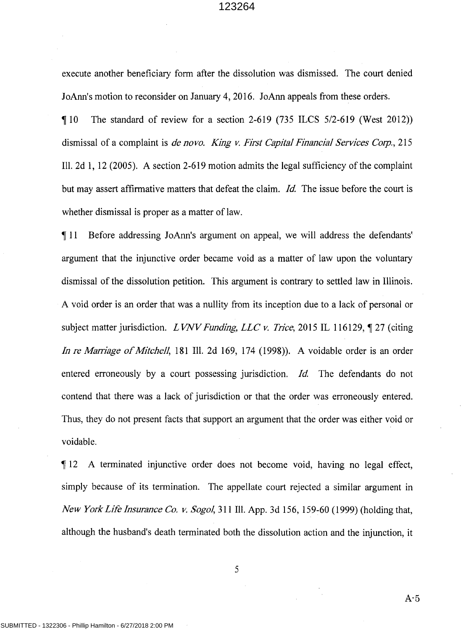execute another beneficiary form after the dissolution was dismissed. The court denied JoAnn's motion to reconsider on January 4, 2016. JoAnn appeals from these orders.

 $\parallel$  10 The standard of review for a section 2-619 (735 ILCS 5/2-619 (West 2012)) dismissal of a complaint is *de nova. King v. First Capital Financial Services Corp.,* 215 Ill. 2d 1, 12 (2005). A section 2-619 motion admits the legal sufficiency of the complaint but may assert affirmative matters that defeat the claim. *Id.* The issue before the court is whether dismissal is proper as a matter of law.

<sup>~</sup>11 Before addressing JoAnn's argument on appeal, we will address the defendants' argument that the injunctive order became void as a matter of law upon the voluntary dismissal of the dissolution petition. This argument is contrary to settled law in Illinois. A void order is an order that was a nullity from its inception due to a lack of personal or subject matter jurisdiction. *LVNV Funding, LLC v. Trice*, 2015 IL 116129, 1 27 (citing *In re Maniage of Mitchell,* 181 Ill. 2d 169, 174 (1998)). A voidable order is an order entered erroneously by a court possessing jurisdiction. *Id.* The defendants do not contend that there was a lack of jurisdiction or that the order was erroneously entered. Thus, they do not present facts that support an argument that the order was either void or voidable.

<sup>~</sup>12 A terminated injunctive order does not become void, having no legal effect, simply because of its termination. The appellate court rejected a similar argument in *New York Life Insurance Co. v. Sogol,* 311 Ill. App. 3d 156, 159-60 ( 1999) (holding that, although the husband's death terminated both the dissolution action and the injunction, it

5

 $A-5$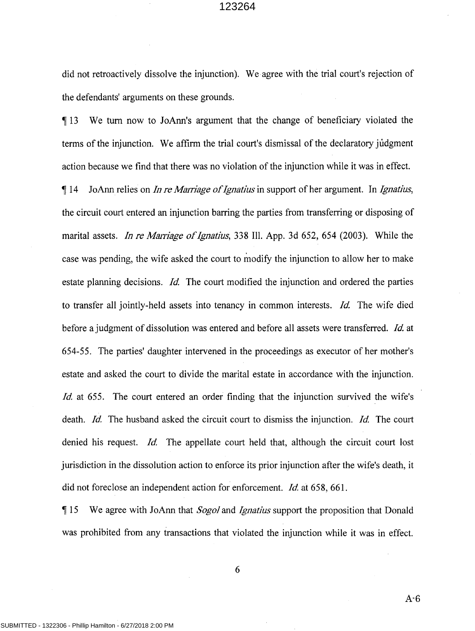did not retroactively dissolve the injunction). We agree with the trial court's rejection of the defendants' arguments on these grounds.

1 13 We tum now to JoAnn's argument that the change of beneficiary violated the terms of the injunction. We affirm the trial court's dismissal of the declaratory judgment action because we find that there was no violation of the injunction while it was in effect. 14 JoAnn relies on *In re Marriage of Ignatius* in support of her argument. In *Ignatius*, the circuit court entered an injunction barring the parties from transferring or disposing of marital assets. *In re Marriage of Ignatius*, 338 Ill. App. 3d 652, 654 (2003). While the case was pending, the wife asked the court to modify the injunction to allow her to make estate planning decisions. *Id.* The court modified the injunction and ordered the parties to transfer all jointly-held assets into tenancy in common interests. *Id.* The wife died before a judgment of dissolution was entered and before all assets were transferred. *Id* at 654-55. The parties' daughter intervened in the proceedings as executor of her mother's estate and asked the court to divide the marital estate in accordance with the injunction. *Id.* at 655. The court entered an order finding that the injunction survived the wife's death. *Id.* The husband asked the circuit court to dismiss the injunction. *Id.* The court denied his request. *Id.* The appellate court held that, although the circuit court lost jurisdiction in the dissolution action to enforce its prior injunction after the wife's death, it did not foreclose an independent action for enforcement. *Id* at 658, 661.

1 15 We agree with JoAnn that *Sogol* and *Ignatjus* support the proposition that Donald was prohibited from any transactions that violated the injunction while it was in effect.

6

A-6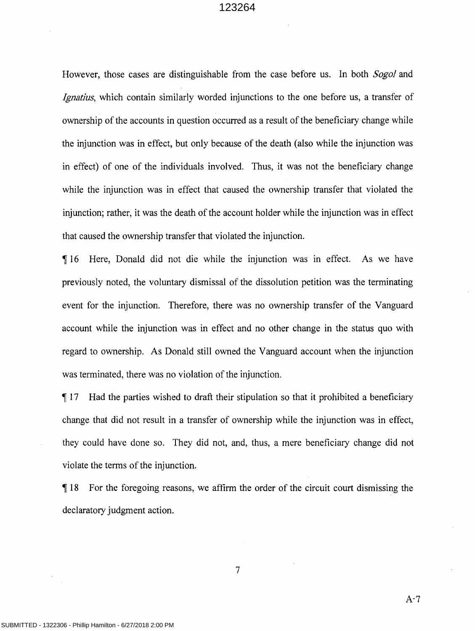However, those cases are distinguishable from the case before us. In both *Sogol* and *Ignatius,* which contain similarly worded injunctions to the one before us, a transfer of ownership of the accounts in question occurred as a result of the beneficiary change while the injunction was in effect, but only because of the death (also while the injunction was in effect) of one of the individuals involved. Thus, it was not the beneficiary change while the injunction was in effect that caused the ownership transfer that violated the injunction; rather, it was the death of the account holder while the injunction was in effect that caused the ownership transfer that violated the injunction.

If 16 Here, Donald did not die while the injunction was in effect. As we have previously noted, the voluntary dismissal of the dissolution petition was the terminating event for the injunction. Therefore, there was no ownership transfer of the Vanguard account while the injunction was in effect and no other change in the status quo with regard to ownership. As Donald still owned the Vanguard account when the injunction was terminated, there was no violation of the injunction.

1 17 Had the parties wished to draft their stipulation so that it prohibited a beneficiary change that did not result in a transfer of ownership while the injunction was in effect, they could have done so. They did not, and, thus, a mere beneficiary change did not violate the terms of the injunction.

**118** For the foregoing reasons, we affirm the order of the circuit court dismissing the declaratory judgment action.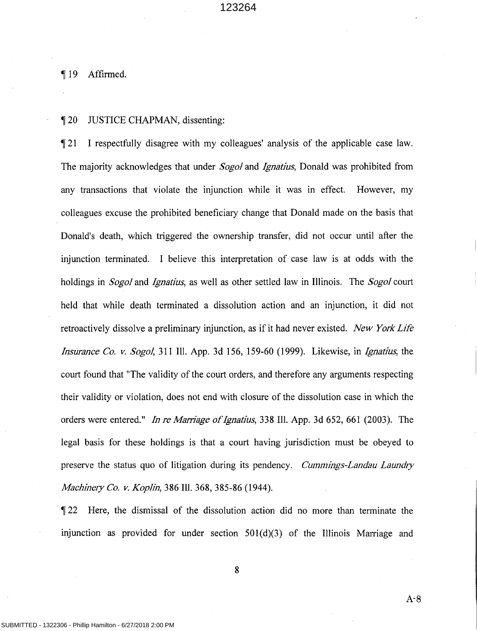¶19 Affirmed.

### 120 JUSTICE CHAPMAN, dissenting:

121 I respectfully disagree with my colleagues' analysis of the applicable case law. The majority acknowledges that under *Sogol* and *Ignatius,* Donald was prohibited from any transactions that violate the injunction while it was in effect. However, my colleagues excuse the prohibited beneficiary change that Donald made on the basis that Donald's death, which triggered the ownership transfer, did not occur until after the injunction terminated. I believe this interpretation of case law is at odds with the holdings in *Sogol* and *Ignatius,* as well as other settled law in Illinois. The *Sogol* court held that while death terminated a dissolution action and an injunction, it did not retroactively dissolve a preliminary injunction, as if it had never existed. *New York Life Insurance Co. v. Sogol,* 311 Ill. App. 3d 156, 159-60 (1999). Likewise, in *Ignatius,* the court found that "The validity of the court orders, and therefore any arguments respecting their validity or violation, does not end with closure of the dissolution case in which the orders were entered." *In re Marriage of Ignatius,* 338 Ill. App. 3d 652, 661 (2003). The legal basis for these holdings is that a court having jurisdiction must be obeyed to preserve the status quo of litigation during its pendency. *Cummings-Landau Laundry Machine1y Co. v. Koplin,* 386 Ill. 368, 385-86 (1944).

**Text** 22 Here, the dismissal of the dissolution action did no more than terminate the injunction as provided for under section  $501(d)(3)$  of the Illinois Marriage and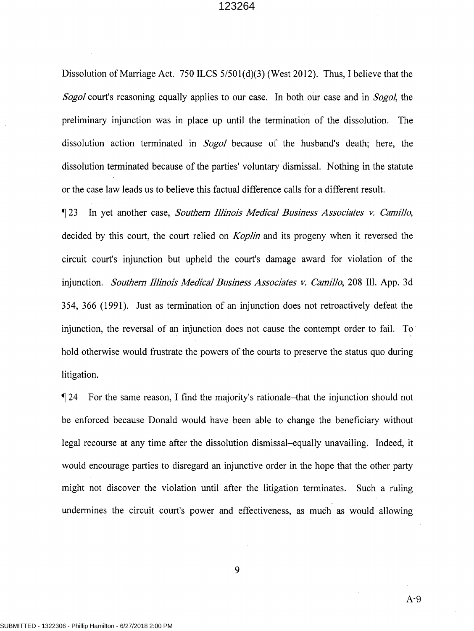Dissolution of Marriage Act. 750 ILCS 5/50l(d)(3) (West 2012). Thus, I believe that the *Sogol* court's reasoning equally applies to our case. In both our case and in *Sogol,* the preliminary injunction was in place up until the termination of the dissolution. The dissolution action terminated in *Sogol* because of the husband's death; here, the dissolution terminated because of the parties' voluntary dismissal. Nothing in the statute or the case law leads us to believe this factual difference calls for a different result.

**1** 23 In yet another case, *Southem Illinois Medical Business Associates v. Camillo,*  decided by this court, the court relied on *Koplin* and its progeny when it reversed the circuit court's injunction but upheld the court's damage award for violation of the injunction. *Southern Illinois Medical Business Associates v. Camillo*, 208 Ill. App. 3d 354, 366 (1991). Just as termination of an injunction does not retroactively defeat the injunction, the reversal of an injunction does not cause the contempt order to fail. To hold otherwise would frustrate the powers of the courts to preserve the status quo during litigation.

124 For the same reason, I find the majority's rationale-that the injunction should not be enforced because Donald would have been able to change the beneficiary without legal recourse at any time after the dissolution dismissal-equally unavailing. Indeed, it would encourage parties to disregard an injunctive order in the hope that the other party might not discover the violation until after the litigation terminates. Such a ruling undermines the circuit court's power and effectiveness, as much as would allowing

9

A-9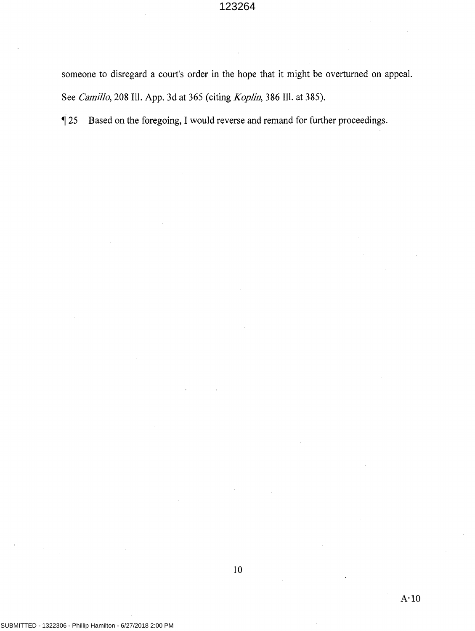someone to disregard a court's order in the hope that it might be overturned on appeal. See *Camillo,* 208 Ill. App. 3d at 365 (citing *Koplin,* 386 Ill. at 385).

125 Based on the foregoing, I would reverse and remand for further proceedings.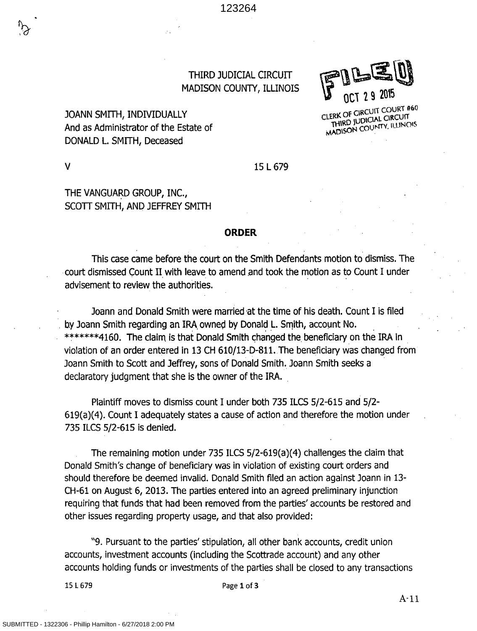

CLERK OF CIRCUIT COURT #60 THIRD JUDICIAL CIRCUIT **MADISON COUNTY, ILLINOIS** 

THIRD JUDICIAL CIRCUIT MADISON COUNTY, ILLINOIS

# JOANN SMITH, INDIVIDUALLY And as Administrator of the Estate of DONALD L. SMITH, Deceased

V

### 15 L 679

# THE VANGUARD GROUP, INC., SCOTT SMITH, AND JEFFREY SMITH

### **ORDER**

This case came before the court on the Smith Defendants motion to dismiss. The . court dismissed Count II with leave to amend and took the motion as to Count I under advisement to review the authorities.

Joann and Donald Smith were married at the time of his death. Count I is filed by Joann Smith regarding an IRA owned by Donald L. Smith, account No. \*\*\*\*\*\*\*4160. The claim is that Donald Smith changed the beneficiary on the IRA in violation of an order entered in 13 CH 610/13-D-811.The beneficiary was changed from Joann Smith to Scott and Jeffrey, sons of Donald Smith. Joann Smith seeks a declaratory judgment that she is the owner of the IRA. .

Plaintiff moves to dismiss count I under both 735 ILCS 5/2-615 and 5/2- 619(a)(4). Count I adequately states a cause of action and therefore the motion under 735 ILCS 5/2-615 is denied.

The remaining motion under 735 ILCS 5/2-619(a)(4) challenges the claim that Donald Smith's change of beneficiary was in violation of existing court orders and should therefore be deemed invalid. Donald Smith filed an action against Joann in 13- CH-61 on August 6, 2013. The parties entered into an agreed preliminary injunction requiring that funds that had been removed from the parties' accounts be restored and other issues regarding property usage, and that also provided:

"9. Pursuant to the parties' stipulation, all other bank accounts, credit union accounts, investment accounts (including the Scottrade account) and any other accounts holding funds or investments of the parties shall be closed to any transactions

15 L 679 Page **1** of **3**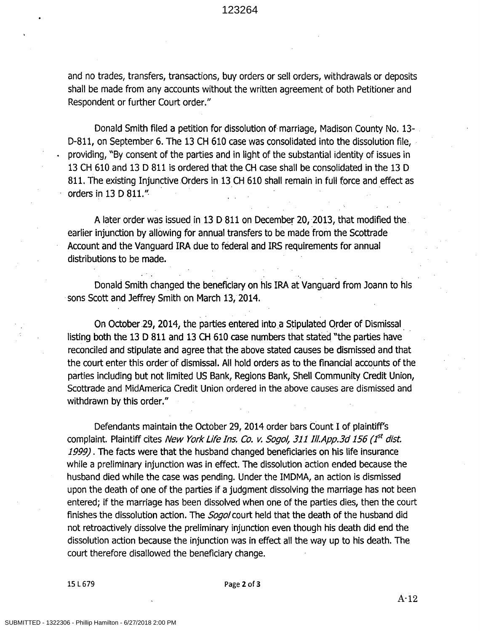and no trades, transfers, transactions, buy orders or sell orders, withdrawals or deposits shall be made from any accounts without the written agreement of both Petitioner and Respondent or further Court order."

Donald Smith filed a petition for dissolution of marriage, Madison County No. 13- . D-811, on September 6. The 13 CH 610 case was consolidated into the dissolution file, . providing, "By consent of the parties and in light of the substantial identity of issues in 13 CH 610 and 13 D 811 is ordered that the CH case shall be consolidated in the 13 D 811. The existing Injunctive Orders in 13 CH 610 shall remain in full force and effect as orders in 13 D 811."·

A later order was issued in 13 D 811 on December 20, 2013, that modified the. earlier injunction by allowing for annual transfers to be made from the Scottrade Account and the Vanguard IRA due to federal and IRS requirements for annual distributions to be made.

Donald Smith changed the beneficiary on his IRA at Vanguard from Joann to his · sons Scott and Jeffrey Smith on March 13, 2014.

On October 29, 2014, the parties entered into a Stipulated Order of Dismissal listing both the 13 D 811 and 13 CH 610 case numbers that stated "the parties have reconciled and stipulate and agree that the above stated causes be dismissed and that the court enter this order of dismissal. All hold orders as to the financial accounts of the parties including but not limited US Bank, Regions Bank, Shell Community Credit Union, Scottrade and MidAmerica Credit Union ordered in the above causes are dismissed and withdrawn by this order."

Defendants maintain the October 29, 2014 order bars Count I of plaintiff's complaint. Plaintiff cites New York Life Ins. Co. v. Sogol, 311 Ill.App.3d 156 (1<sup>st</sup> dist. *1999).* The facts were that the husband changed beneficiaries on his life insurance while a preliminary injunction was in effect. The dissolution action ended because the husband died while the case was pending. Under the IMDMA, an action is dismissed upon the death of one of the parties if a judgment dissolving the marriage has not been entered; if the marriage has been dissolved when one of the parties dies, then the court finishes the dissolution action. The *Sogol* court held that the death of the husband did not retroactively dissolve the preliminary injunction even though his death did end the dissolution action because the injunction was in effect all the way up to his death. The court therefore disallowed the beneficiary change.

15 L 679 Page 2 of 3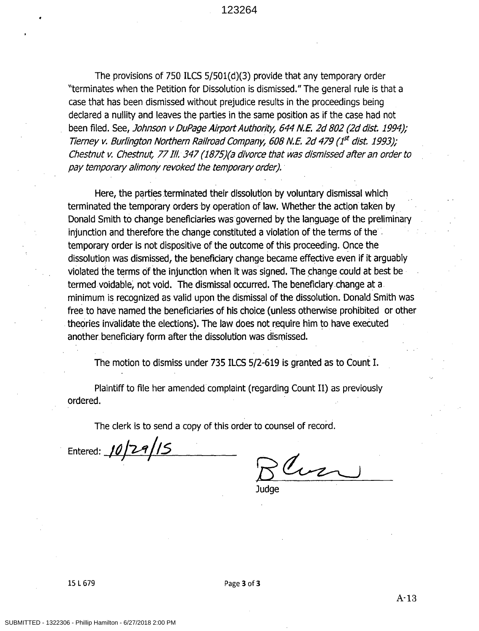The provisions of 750 ILCS 5/501(d)(3) provide that any temporary order "terminates when the Petition for Dissolution is dismissed." The general rule is that a case that has been dismissed without prejudice results in the proceedings being declared a nullity and leaves the parties in the same position as if the case had not been filed. See, Johnson v DuPage Airport Authority, 644 N.E. 2d 802 (2d dist. 1994); Tierney v. Burlington Northern Railroad Company, 608 N.E. 2d 479 ( $1<sup>st</sup>$  dist. 1993); Chestnut v. Chestnut, 77 Ill. 347 (1875)(a divorce that was dismissed after an order to pay temporary alimony revoked the temporary order).

Here, the parties terminated their dissolution by voluntary dismissal which terminated the temporary orders by operation of law. Whether the action taken by . Donald Smith to change beneficiaries was governed by the language of the preliminary injunction and therefore the change constituted a violation of the terms of the temporary order is not dispositive of the outcome of this proceeding. Once the dissolution was dismissed, the beneficiary change became effective even if it arguably violated the terms of the injunction when it was signed. The change could at best be termed voidable, not void. The dismissal occurred. The beneficiary change at a. minimum is recognized as valid upon the dismissal of the dissolution. Donald Smith was free to have named the beneficiaries of his choice (unless otherwise prohibited or other theories invalidate the elections). The law does not require him to have executed another beneficiary form after the dissolution was dismissed.

The motion to dismiss under 735 ILCS 5/2-619 is granted as to Count I.

Plaintiff to file her amended complaint (regarding Count II) as previously ordered.

The clerk is to send a copy of this order to counsel of record.

Entered: 10/2*9/15* 

Cur

**Judge**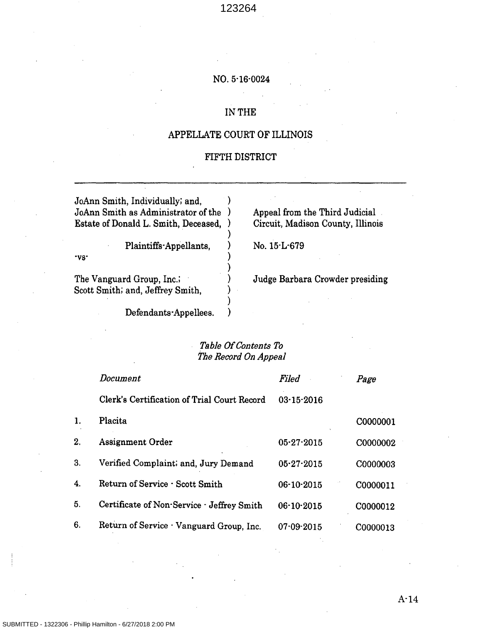### NO. 5·16·0024

## IN THE

## APPELLATE COURT OF ILLINOIS

## FIFTH DISTRICT

JoAnn Smith, Individually; and, ) JoAnn Smith as Administrator of the ) Estate of Donald L. Smith, Deceased, )

> Plaintiffs·Appellants,  $N_0$ . 15·L·679 ) ) )

The Vanguard Group, Inc.; Scott Smith; and, Jeffrey Smith,

·vs·

Appeal from the Third Judicial Circuit, Madison County, Illinois

Judge Barbara Crowder presiding

Defendants· Appellees.

# *Table Of Contents To The Record On Appeal*

) ) ) ) )

|    | Document                                    | Filed            | Page     |
|----|---------------------------------------------|------------------|----------|
|    | Clerk's Certification of Trial Court Record | $03 - 15 - 2016$ |          |
| 1. | Placita                                     |                  | C0000001 |
| 2. | Assignment Order                            | $05 - 27 - 2015$ | C0000002 |
| 3. | Verified Complaint; and, Jury Demand        | $05 - 27 - 2015$ | C0000003 |
| 4. | Return of Service · Scott Smith             | 06-10-2015       | C0000011 |
| 5. | Certificate of Non-Service - Jeffrey Smith  | $06-10-2015$     | C0000012 |
| 6. | Return of Service · Vanguard Group, Inc.    | $07.09 - 2015$   | C0000013 |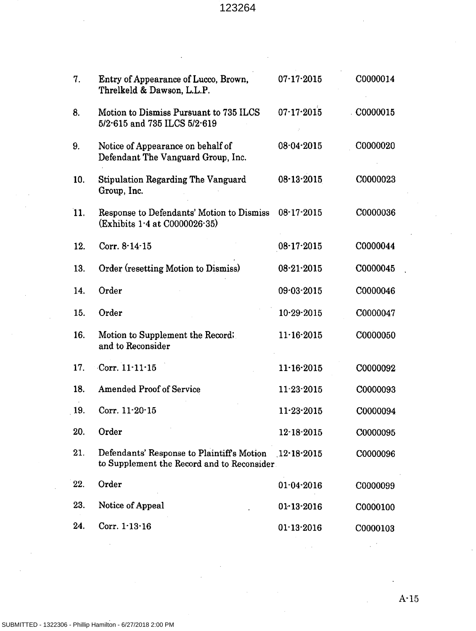| 7.  | Entry of Appearance of Lucco, Brown,<br>Threlkeld & Dawson, L.L.P.                                   | $07 - 17 - 2015$ | C0000014 |
|-----|------------------------------------------------------------------------------------------------------|------------------|----------|
| 8.  | Motion to Dismiss Pursuant to 735 ILCS<br>5/2-615 and 735 ILCS 5/2-619                               | $07 - 17 - 2015$ | C0000015 |
| 9.  | Notice of Appearance on behalf of<br>Defendant The Vanguard Group, Inc.                              | 08.04.2015       | C0000020 |
| 10. | <b>Stipulation Regarding The Vanguard</b><br>Group, Inc.                                             | $08 - 13 - 2015$ | C0000023 |
| 11. | Response to Defendants' Motion to Dismiss<br>(Exhibits 1.4 at C0000026.35)                           | $08-17-2015$     | C0000036 |
| 12. | Corr. 8-14-15                                                                                        | $08 - 17 - 2015$ | C0000044 |
| 13. | Order (resetting Motion to Dismiss)                                                                  | $08 - 21 - 2015$ | C0000045 |
| 14. | Order                                                                                                | 09-03-2015       | C0000046 |
| 15. | Order                                                                                                | $10 - 29 - 2015$ | C0000047 |
| 16. | Motion to Supplement the Record;<br>and to Reconsider                                                | $11.16 - 2015$   | C0000050 |
| 17. | Corr. $11 \cdot 11 \cdot 15$                                                                         | $11 - 16 - 2015$ | C0000092 |
| 18. | <b>Amended Proof of Service</b>                                                                      | $11 - 23 - 2015$ | C0000093 |
| 19. | Corr. $11 - 20 - 15$                                                                                 | $11 - 23 - 2015$ | C0000094 |
| 20. | Order                                                                                                | 12-18-2015       | C0000095 |
| 21. | Defendants' Response to Plaintiff's Motion 12.18.2015<br>to Supplement the Record and to Reconsider. |                  | C0000096 |
| 22. | Order                                                                                                | $01 - 04 - 2016$ | C0000099 |
| 23. | Notice of Appeal                                                                                     | $01 - 13 - 2016$ | C0000100 |
| 24. | Corr. $1.13.16$                                                                                      | $01 - 13 - 2016$ | C0000103 |

A·15

 $\mathcal{L}^{\text{out}}$ 

 $\sqrt{1-\lambda}$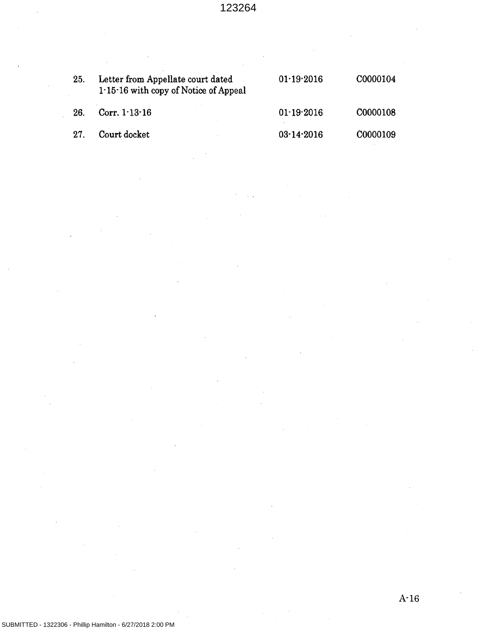| 25.  | Letter from Appellate court dated<br>1.15.16 with copy of Notice of Appeal | $01-19-2016$ | C0000104 |
|------|----------------------------------------------------------------------------|--------------|----------|
| 26.  | Corr. $1.13 - 16$                                                          | $01-19-2016$ | C0000108 |
| -27. | Court docket                                                               | $03-14-2016$ | C0000109 |